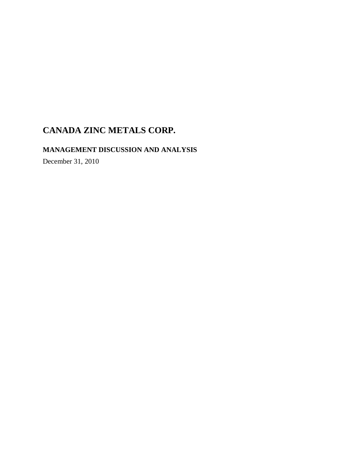**MANAGEMENT DISCUSSION AND ANALYSIS** 

December 31, 2010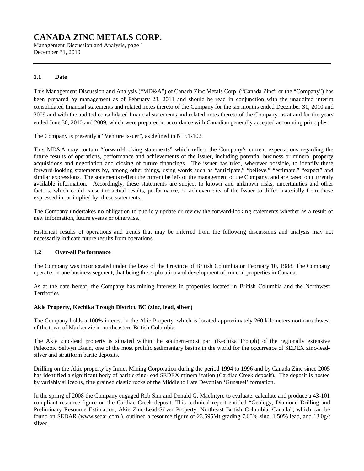Management Discussion and Analysis, page 1 December 31, 2010

### **1.1 Date**

This Management Discussion and Analysis ("MD&A") of Canada Zinc Metals Corp. ("Canada Zinc" or the "Company") has been prepared by management as of February 28, 2011 and should be read in conjunction with the unaudited interim consolidated financial statements and related notes thereto of the Company for the six months ended December 31, 2010 and 2009 and with the audited consolidated financial statements and related notes thereto of the Company, as at and for the years ended June 30, 2010 and 2009, which were prepared in accordance with Canadian generally accepted accounting principles.

The Company is presently a "Venture Issuer", as defined in NI 51-102.

This MD&A may contain "forward-looking statements" which reflect the Company's current expectations regarding the future results of operations, performance and achievements of the issuer, including potential business or mineral property acquisitions and negotiation and closing of future financings. The issuer has tried, wherever possible, to identify these forward-looking statements by, among other things, using words such as "anticipate," "believe," "estimate," "expect" and similar expressions. The statements reflect the current beliefs of the management of the Company, and are based on currently available information. Accordingly, these statements are subject to known and unknown risks, uncertainties and other factors, which could cause the actual results, performance, or achievements of the Issuer to differ materially from those expressed in, or implied by, these statements.

The Company undertakes no obligation to publicly update or review the forward-looking statements whether as a result of new information, future events or otherwise.

Historical results of operations and trends that may be inferred from the following discussions and analysis may not necessarily indicate future results from operations.

### **1.2 Over-all Performance**

The Company was incorporated under the laws of the Province of British Columbia on February 10, 1988. The Company operates in one business segment, that being the exploration and development of mineral properties in Canada.

As at the date hereof, the Company has mining interests in properties located in British Columbia and the Northwest Territories.

### **Akie Property, Kechika Trough District, BC (zinc, lead, silver)**

The Company holds a 100% interest in the Akie Property, which is located approximately 260 kilometers north-northwest of the town of Mackenzie in northeastern British Columbia.

The Akie zinc-lead property is situated within the southern-most part (Kechika Trough) of the regionally extensive Paleozoic Selwyn Basin, one of the most prolific sedimentary basins in the world for the occurrence of SEDEX zinc-leadsilver and stratiform barite deposits.

Drilling on the Akie property by Inmet Mining Corporation during the period 1994 to 1996 and by Canada Zinc since 2005 has identified a significant body of baritic-zinc-lead SEDEX mineralization (Cardiac Creek deposit). The deposit is hosted by variably siliceous, fine grained clastic rocks of the Middle to Late Devonian 'Gunsteel' formation.

In the spring of 2008 the Company engaged Rob Sim and Donald G. MacIntyre to evaluate, calculate and produce a 43-101 compliant resource figure on the Cardiac Creek deposit. This technical report entitled "Geology, Diamond Drilling and Preliminary Resource Estimation, Akie Zinc-Lead-Silver Property, Northeast British Columbia, Canada", which can be found on SEDAR [\(www.sedar.com](http://www.sedar.com) ), outlined a resource figure of 23.595Mt grading 7.60% zinc, 1.50% lead, and 13.0g/t silver.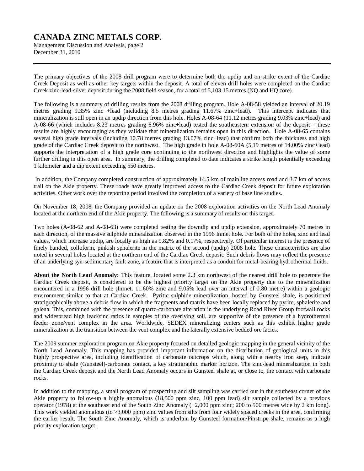Management Discussion and Analysis, page 2 December 31, 2010

The primary objectives of the 2008 drill program were to determine both the updip and on-strike extent of the Cardiac Creek Deposit as well as other key targets within the deposit. A total of eleven drill holes were completed on the Cardiac Creek zinc-lead-silver deposit during the 2008 field season, for a total of 5,103.15 metres (NQ and HQ core).

The following is a summary of drilling results from the 2008 drilling program. Hole A-08-58 yielded an interval of 20.19 metres grading 9.35% zinc +lead (including 8.5 metres grading 11.67% zinc+lead). This intercept indicates that mineralization is still open in an updip direction from this hole. Holes A-08-64 (11.12 metres grading 9.03% zinc+lead) and A-08-66 (which includes 8.23 metres grading 6.96% zinc+lead) tested the southeastern extension of the deposit – these results are highly encouraging as they validate that mineralization remains open in this direction. Hole A-08-65 contains several high grade intervals (including 10.78 metres grading 13.07% zinc+lead) that confirm both the thickness and high grade of the Cardiac Creek deposit to the northwest. The high grade in hole A-08-60A (5.19 metres of 14.00% zinc+lead) supports the interpretation of a high grade core continuing to the northwest direction and highlights the value of some further drilling in this open area. In summary, the drilling completed to date indicates a strike length potentially exceeding 1 kilometer and a dip extent exceeding 550 metres.

In addition, the Company completed construction of approximately 14.5 km of mainline access road and 3.7 km of access trail on the Akie property. These roads have greatly improved access to the Cardiac Creek deposit for future exploration activities. Other work over the reporting period involved the completion of a variety of base line studies.

On November 18, 2008, the Company provided an update on the 2008 exploration activities on the North Lead Anomaly located at the northern end of the Akie property. The following is a summary of results on this target.

Two holes (A-08-62 and A-08-63) were completed testing the downdip and updip extension, approximately 70 metres in each direction, of the massive sulphide mineralization observed in the 1996 Inmet hole. For both of the holes, zinc and lead values, which increase updip, are locally as high as 9.82% and 0.17%, respectively. Of particular interest is the presence of finely banded, colloform, pinkish sphalerite in the matrix of the second (updip) 2008 hole. These characteristics are also noted in several holes located at the northern end of the Cardiac Creek deposit. Such debris flows may reflect the presence of an underlying syn-sedimentary fault zone, a feature that is interpreted as a conduit for metal-bearing hydrothermal fluids.

**About the North Lead Anomaly:** This feature, located some 2.3 km northwest of the nearest drill hole to penetrate the Cardiac Creek deposit, is considered to be the highest priority target on the Akie property due to the mineralization encountered in a 1996 drill hole (Inmet; 11.60% zinc and 9.05% lead over an interval of 0.80 metre) within a geologic environment similar to that at Cardiac Creek. Pyritic sulphide mineralization, hosted by Gunsteel shale, is positioned stratigraphically above a debris flow in which the fragments and matrix have been locally replaced by pyrite, sphalerite and galena. This, combined with the presence of quartz-carbonate alteration in the underlying Road River Group footwall rocks and widespread high lead/zinc ratios in samples of the overlying soil, are supportive of the presence of a hydrothermal feeder zone/vent complex in the area. Worldwide, SEDEX mineralizing centers such as this exhibit higher grade mineralization at the transition between the vent complex and the laterally extensive bedded ore facies.

The 2009 summer exploration program on Akie property focused on detailed geologic mapping in the general vicinity of the North Lead Anomaly. This mapping has provided important information on the distribution of geological units in this highly prospective area, including identification of carbonate outcrops which, along with a nearby iron seep, indicate proximity to shale (Gunsteel)-carbonate contact, a key stratigraphic marker horizon. The zinc-lead mineralization in both the Cardiac Creek deposit and the North Lead Anomaly occurs in Gunsteel shale at, or close to, the contact with carbonate rocks.

In addition to the mapping, a small program of prospecting and silt sampling was carried out in the southeast corner of the Akie property to follow-up a highly anomalous (18,500 ppm zinc, 100 ppm lead) silt sample collected by a previous operator (1978) at the southeast end of the South Zinc Anomaly (+2,000 ppm zinc; 200 to 500 metres wide by 2 km long). This work yielded anomalous (to >3,000 ppm) zinc values from silts from four widely spaced creeks in the area, confirming the earlier result. The South Zinc Anomaly, which is underlain by Gunsteel formation/Pinstripe shale, remains as a high priority exploration target.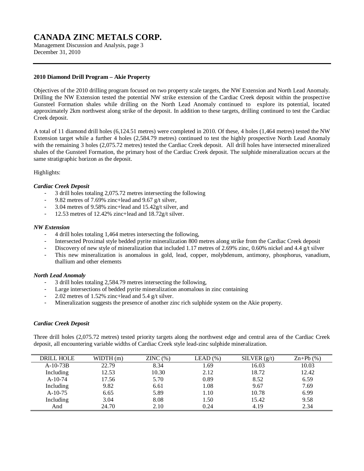Management Discussion and Analysis, page 3 December 31, 2010

### **2010 Diamond Drill Program – Akie Property**

Objectives of the 2010 drilling program focused on two property scale targets, the NW Extension and North Lead Anomaly. Drilling the NW Extension tested the potential NW strike extension of the Cardiac Creek deposit within the prospective Gunsteel Formation shales while drilling on the North Lead Anomaly continued to explore its potential, located approximately 2km northwest along strike of the deposit. In addition to these targets, drilling continued to test the Cardiac Creek deposit.

A total of 11 diamond drill holes (6,124.51 metres) were completed in 2010. Of these, 4 holes (1,464 metres) tested the NW Extension target while a further 4 holes (2,584.79 metres) continued to test the highly prospective North Lead Anomaly with the remaining 3 holes (2,075.72 metres) tested the Cardiac Creek deposit. All drill holes have intersected mineralized shales of the Gunsteel Formation, the primary host of the Cardiac Creek deposit. The sulphide mineralization occurs at the same stratigraphic horizon as the deposit.

### Highlights:

### *Cardiac Creek Deposit*

- 3 drill holes totaling 2,075.72 metres intersecting the following
- 9.82 metres of 7.69% zinc+lead and 9.67 g/t silver,
- 3.04 metres of 9.58% zinc+lead and 15.42g/t silver, and
- 12.53 metres of 12.42% zinc+lead and  $18.72g/t$  silver.

#### *NW Extension*

- 4 drill holes totaling 1,464 metres intersecting the following,
- Intersected Proximal style bedded pyrite mineralization 800 metres along strike from the Cardiac Creek deposit
- Discovery of new style of mineralization that included 1.17 metres of 2.69% zinc, 0.60% nickel and 4.4 g/t silver
- This new mineralization is anomalous in gold, lead, copper, molybdenum, antimony, phosphorus, vanadium, thallium and other elements

### *North Lead Anomaly*

- 3 drill holes totaling 2,584.79 metres intersecting the following,
- Large intersections of bedded pyrite mineralization anomalous in zinc containing
- 2.02 metres of 1.52% zinc+lead and 5.4 g/t silver.
- Mineralization suggests the presence of another zinc rich sulphide system on the Akie property.

### *Cardiac Creek Deposit*

Three drill holes (2,075.72 metres) tested priority targets along the northwest edge and central area of the Cardiac Creek deposit, all encountering variable widths of Cardiac Creek style lead-zinc sulphide mineralization.

| <b>DRILL HOLE</b> | WIDTH(m) | ZINC(%) | $LEAD(\%)$ | SILVER $(g/t)$ | $\text{Zn+Pb}$ (%) |
|-------------------|----------|---------|------------|----------------|--------------------|
| $A-10-73B$        | 22.79    | 8.34    | 1.69       | 16.03          | 10.03              |
| Including         | 12.53    | 10.30   | 2.12       | 18.72          | 12.42              |
| $A-10-74$         | 17.56    | 5.70    | 0.89       | 8.52           | 6.59               |
| Including         | 9.82     | 6.61    | 1.08       | 9.67           | 7.69               |
| $A-10-75$         | 6.65     | 5.89    | 1.10       | 10.78          | 6.99               |
| Including         | 3.04     | 8.08    | 1.50       | 15.42          | 9.58               |
| And               | 24.70    | 2.10    | 0.24       | 4.19           | 2.34               |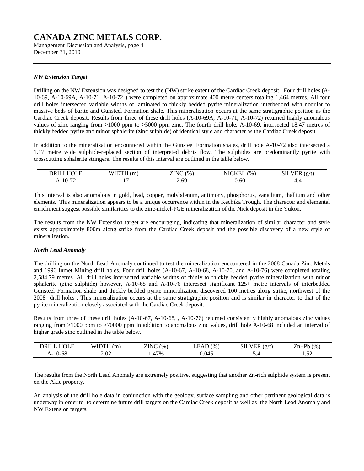Management Discussion and Analysis, page 4 December 31, 2010

### *NW Extension Target*

Drilling on the NW Extension was designed to test the (NW) strike extent of the Cardiac Creek deposit . Four drill holes (A-10-69, A-10-69A, A-10-71, A-10-72 ) were completed on approximate 400 metre centers totaling 1,464 metres. All four drill holes intersected variable widths of laminated to thickly bedded pyrite mineralization interbedded with nodular to massive beds of barite and Gunsteel Formation shale. This mineralization occurs at the same stratigraphic position as the Cardiac Creek deposit. Results from three of these drill holes (A-10-69A, A-10-71, A-10-72) returned highly anomalous values of zinc ranging from >1000 ppm to >5000 ppm zinc. The fourth drill hole, A-10-69, intersected 18.47 metres of thickly bedded pyrite and minor sphalerite (zinc sulphide) of identical style and character as the Cardiac Creek deposit.

In addition to the mineralization encountered within the Gunsteel Formation shales, drill hole A-10-72 also intersected a 1.17 metre wide sulphide-replaced section of interpreted debris flow. The sulphides are predominantly pyrite with crosscutting sphalerite stringers. The results of this interval are outlined in the table below.

| $- - - - -$<br>DRII                  | $\sim$<br>.<br> | <b>ZINC</b><br>$^{(0)}$<br>ப | $\sqrt{1 + \alpha + \gamma + \gamma}$<br>$\%$<br>NK<br>$\mathbf{N}$ .<br>. | SIL<br>$\sim$<br>. .<br>.<br>∽ |
|--------------------------------------|-----------------|------------------------------|----------------------------------------------------------------------------|--------------------------------|
| $\overline{\phantom{a}}$<br>$A-10-7$ | $\sim$<br>.     | 69<br>∠.∪                    | 0.60                                                                       | т.-                            |

This interval is also anomalous in gold, lead, copper, molybdenum, antimony, phosphorus, vanadium, thallium and other elements. This mineralization appears to be a unique occurrence within in the Kechika Trough. The character and elemental enrichment suggest possible similarities to the zinc-nickel-PGE mineralization of the Nick deposit in the Yukon.

The results from the NW Extension target are encouraging, indicating that mineralization of similar character and style exists approximately 800m along strike from the Cardiac Creek deposit and the possible discovery of a new style of mineralization.

### *North Lead Anomaly*

The drilling on the North Lead Anomaly continued to test the mineralization encountered in the 2008 Canada Zinc Metals and 1996 Inmet Mining drill holes. Four drill holes (A-10-67, A-10-68, A-10-70, and A-10-76) were completed totaling 2,584.79 metres. All drill holes intersected variable widths of thinly to thickly bedded pyrite mineralization with minor sphalerite (zinc sulphide) however, A-10-68 and A-10-76 interesect significant 125+ metre intervals of interbedded Gunsteel Formation shale and thickly bedded pyrite mineralization discovered 100 metres along strike, northwest of the 2008 drill holes . This mineralization occurs at the same stratigraphic position and is similar in character to that of the pyrite mineralization closely associated with the Cardiac Creek deposit.

Results from three of these drill holes (A-10-67, A-10-68, , A-10-76) returned consistently highly anomalous zinc values ranging from >1000 ppm to >70000 ppm In addition to anomalous zinc values, drill hole A-10-68 included an interval of higher grade zinc outlined in the table below.

| $H\Omega F$<br>DRII | $\sim$<br>W      | 7INC<br>(9/6)<br>'NN.<br>.         | $^{(0)}$ | $\sim$ $\sim$<br>$\sim$<br>.<br>'Hk<br>$\cdot$ $\sigma$<br>--<br>١c | <b>D</b> h<br>(9/6)<br>'n |
|---------------------|------------------|------------------------------------|----------|---------------------------------------------------------------------|---------------------------|
| A-10-68             | $\Omega$<br>2002 | $17\%$<br>$\overline{\phantom{a}}$ | 0.045    | ◡.¬                                                                 | - -<br>1.JA               |

The results from the North Lead Anomaly are extremely positive, suggesting that another Zn-rich sulphide system is present on the Akie property.

An analysis of the drill hole data in conjunction with the geology, surface sampling and other pertinent geological data is underway in order to to determine future drill targets on the Cardiac Creek deposit as well as the North Lead Anomaly and NW Extension targets.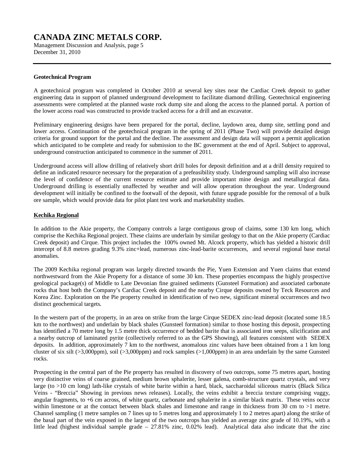Management Discussion and Analysis, page 5 December 31, 2010

### **Geotechnical Program**

A geotechnical program was completed in October 2010 at several key sites near the Cardiac Creek deposit to gather engineering data in support of planned underground development to facilitate diamond drilling. Geotechnical engineering assessments were completed at the planned waste rock dump site and along the access to the planned portal. A portion of the lower access road was constructed to provide tracked access for a drill and an excavator.

Preliminary engineering designs have been prepared for the portal, decline, laydown area, dump site, settling pond and lower access. Continuation of the geotechnical program in the spring of 2011 (Phase Two) will provide detailed design criteria for ground support for the portal and the decline. The assessment and design data will support a permit application which anticipated to be complete and ready for submission to the BC government at the end of April. Subject to approval, underground construction anticipated to commence in the summer of 2011.

Underground access will allow drilling of relatively short drill holes for deposit definition and at a drill density required to define an indicated resource necessary for the preparation of a prefeasibility study. Underground sampling will also increase the level of confidence of the current resource estimate and provide important mine design and metallurgical data. Underground drilling is essentially unaffected by weather and will allow operation throughout the year. Underground development will initially be confined to the footwall of the deposit, with future upgrade possible for the removal of a bulk ore sample, which would provide data for pilot plant test work and marketability studies.

### **Kechika Regional**

In addition to the Akie property, the Company controls a large contiguous group of claims, some 130 km long, which comprise the Kechika Regional project. These claims are underlain by similar geology to that on the Akie property (Cardiac Creek deposit) and Cirque. This project includes the 100% owned Mt. Alcock property, which has yielded a historic drill intercept of 8.8 metres grading 9.3% zinc+lead, numerous zinc-lead-barite occurrences, and several regional base metal anomalies.

The 2009 Kechika regional program was largely directed towards the Pie, Yuen Extension and Yuen claims that extend northwestward from the Akie Property for a distance of some 30 km. These properties encompass the highly prospective geological package(s) of Middle to Late Devonian fine grained sediments (Gunsteel Formation) and associated carbonate rocks that host both the Company's Cardiac Creek deposit and the nearby Cirque deposits owned by Teck Resources and Korea Zinc. Exploration on the Pie property resulted in identification of two new, significant mineral occurrences and two distinct geochemical targets.

In the western part of the property, in an area on strike from the large Cirque SEDEX zinc-lead deposit (located some 18.5 km to the northwest) and underlain by black shales (Gunsteel formation) similar to those hosting this deposit, prospecting has identified a 70 metre long by 1.5 metre thick occurrence of bedded barite that is associated iron seeps, silicification and a nearby outcrop of laminated pyrite (collectively referred to as the GPS Showing), all features consistent with SEDEX deposits. In addition, approximately 7 km to the northwest, anomalous zinc values have been obtained from a 1 km long cluster of six silt ( $>3,000$ ppm), soil ( $>3,000$ ppm) and rock samples ( $>1,000$ ppm) in an area underlain by the same Gunsteel rocks.

Prospecting in the central part of the Pie property has resulted in discovery of two outcrops, some 75 metres apart, hosting very distinctive veins of coarse grained, medium brown sphalerite, lesser galena, comb-structure quartz crystals, and very large (to >10 cm long) lath-like crystals of white barite within a hard, black, saccharoidal siliceous matrix (Black Silica Veins - "Breccia" Showing in previous news releases). Locally, the veins exhibit a breccia texture comprising vuggy, angular fragments, to +6 cm across, of white quartz, carbonate and sphalerite in a similar black matrix. These veins occur within limestone or at the contact between black shales and limestone and range in thickness from 30 cm to >1 metre. Channel sampling (1 metre samples on 7 lines up to 5 metres long and approximately 1 to 2 metres apart) along the strike of the basal part of the vein exposed in the largest of the two outcrops has yielded an average zinc grade of 10.19%, with a little lead (highest individual sample grade – 27.81% zinc, 0.02% lead). Analytical data also indicate that the zinc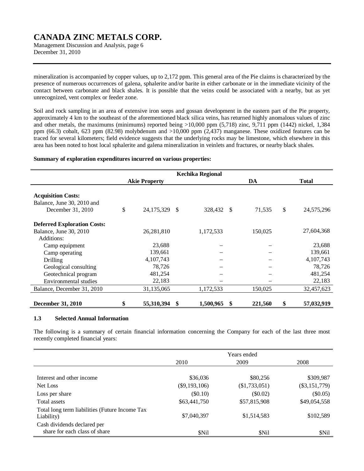Management Discussion and Analysis, page 6 December 31, 2010

mineralization is accompanied by copper values, up to 2,172 ppm. This general area of the Pie claims is characterized by the presence of numerous occurrences of galena, sphalerite and/or barite in either carbonate or in the immediate vicinity of the contact between carbonate and black shales. It is possible that the veins could be associated with a nearby, but as yet unrecognized, vent complex or feeder zone.

Soil and rock sampling in an area of extensive iron seeps and gossan development in the eastern part of the Pie property, approximately 4 km to the southeast of the aforementioned black silica veins, has returned highly anomalous values of zinc and other metals, the maximums (minimums) reported being >10,000 ppm (5,718) zinc, 9,711 ppm (1442) nickel, 1,384 ppm (66.3) cobalt, 623 ppm (82.98) molybdenum and >10,000 ppm (2,437) manganese. These oxidized features can be traced for several kilometers; field evidence suggests that the underlying rocks may be limestone, which elsewhere in this area has been noted to host local sphalerite and galena mineralization in veinlets and fractures, or nearby black shales.

#### **Summary of exploration expenditures incurred on various properties:**

|                                                                              |                      | <b>Kechika Regional</b> |               |                  |
|------------------------------------------------------------------------------|----------------------|-------------------------|---------------|------------------|
|                                                                              | <b>Akie Property</b> |                         | DA            | <b>Total</b>     |
| <b>Acquisition Costs:</b><br>Balance, June 30, 2010 and<br>December 31, 2010 | \$<br>24,175,329 \$  | 328,432 \$              | 71,535        | \$<br>24,575,296 |
| <b>Deferred Exploration Costs:</b>                                           |                      |                         |               |                  |
| Balance, June 30, 2010                                                       | 26,281,810           | 1,172,533               | 150,025       | 27,604,368       |
| Additions:                                                                   |                      |                         |               |                  |
| Camp equipment                                                               | 23,688               |                         |               | 23,688           |
| Camp operating                                                               | 139,661              |                         |               | 139,661          |
| Drilling                                                                     | 4, 107, 743          |                         |               | 4,107,743        |
| Geological consulting                                                        | 78,726               |                         |               | 78,726           |
| Geotechnical program                                                         | 481,254              |                         |               | 481,254          |
| Environmental studies                                                        | 22,183               |                         |               | 22,183           |
| Balance, December 31, 2010                                                   | 31,135,065           | 1,172,533               | 150,025       | 32,457,623       |
| <b>December 31, 2010</b>                                                     | \$<br>55,310,394     | \$<br>1,500,965         | \$<br>221,560 | \$<br>57,032,919 |

### **1.3 Selected Annual Information**

The following is a summary of certain financial information concerning the Company for each of the last three most recently completed financial years:

|                                                              |                 | Years ended   |                 |
|--------------------------------------------------------------|-----------------|---------------|-----------------|
|                                                              | 2010            | 2009          | 2008            |
|                                                              |                 |               |                 |
| Interest and other income                                    | \$36,036        | \$80,256      | \$309,987       |
| Net Loss                                                     | $(\$9,193,106)$ | (\$1,733,051) | $(\$3,151,779)$ |
| Loss per share                                               | $(\$0.10)$      | $(\$0.02)$    | $(\$0.05)$      |
| Total assets                                                 | \$63,441,750    | \$57,815,908  | \$49,054,558    |
| Total long term liabilities (Future Income Tax<br>Liability) | \$7,040,397     | \$1,514,583   | \$102,589       |
| Cash dividends declared per<br>share for each class of share | \$Nil           | \$Nil         | \$Nil           |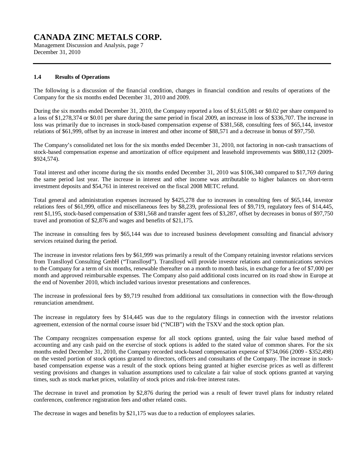Management Discussion and Analysis, page 7 December 31, 2010

### **1.4 Results of Operations**

The following is a discussion of the financial condition, changes in financial condition and results of operations of the Company for the six months ended December 31, 2010 and 2009.

During the six months ended December 31, 2010, the Company reported a loss of \$1,615,081 or \$0.02 per share compared to a loss of \$1,278,374 or \$0.01 per share during the same period in fiscal 2009, an increase in loss of \$336,707. The increase in loss was primarily due to increases in stock-based compensation expense of \$381,568, consulting fees of \$65,144, investor relations of \$61,999, offset by an increase in interest and other income of \$88,571 and a decrease in bonus of \$97,750.

The Company's consolidated net loss for the six months ended December 31, 2010, not factoring in non-cash transactions of stock-based compensation expense and amortization of office equipment and leasehold improvements was \$880,112 (2009- \$924,574).

Total interest and other income during the six months ended December 31, 2010 was \$106,340 compared to \$17,769 during the same period last year. The increase in interest and other income was attributable to higher balances on short-term investment deposits and \$54,761 in interest received on the fiscal 2008 METC refund.

Total general and administration expenses increased by \$425,278 due to increases in consulting fees of \$65,144, investor relations fees of \$61,999, office and miscellaneous fees by \$8,239, professional fees of \$9,719, regulatory fees of \$14,445, rent \$1,195, stock-based compensation of \$381,568 and transfer agent fees of \$3,287, offset by decreases in bonus of \$97,750 travel and promotion of \$2,876 and wages and benefits of \$21,175.

The increase in consulting fees by \$65,144 was due to increased business development consulting and financial advisory services retained during the period.

The increase in investor relations fees by \$61,999 was primarily a result of the Company retaining investor relations services from Translloyd Consulting GmbH ("Translloyd"). Translloyd will provide investor relations and communications services to the Company for a term of six months, renewable thereafter on a month to month basis, in exchange for a fee of \$7,000 per month and approved reimbursable expenses. The Company also paid additional costs incurred on its road show in Europe at the end of November 2010, which included various investor presentations and conferences.

The increase in professional fees by \$9,719 resulted from additional tax consultations in connection with the flow-through renunciation amendment.

The increase in regulatory fees by \$14,445 was due to the regulatory filings in connection with the investor relations agreement, extension of the normal course issuer bid ("NCIB") with the TSXV and the stock option plan.

The Company recognizes compensation expense for all stock options granted, using the fair value based method of accounting and any cash paid on the exercise of stock options is added to the stated value of common shares. For the six months ended December 31, 2010, the Company recorded stock-based compensation expense of \$734,066 (2009 - \$352,498) on the vested portion of stock options granted to directors, officers and consultants of the Company. The increase in stockbased compensation expense was a result of the stock options being granted at higher exercise prices as well as different vesting provisions and changes in valuation assumptions used to calculate a fair value of stock options granted at varying times, such as stock market prices, volatility of stock prices and risk-free interest rates.

The decrease in travel and promotion by \$2,876 during the period was a result of fewer travel plans for industry related conferences, conference registration fees and other related costs.

The decrease in wages and benefits by \$21,175 was due to a reduction of employees salaries.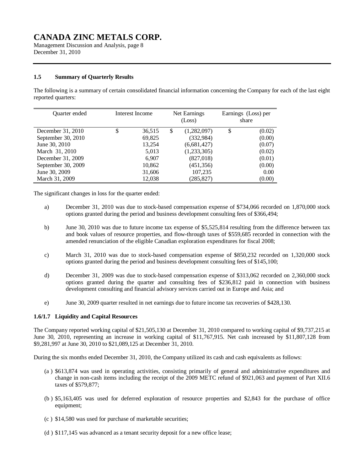Management Discussion and Analysis, page 8 December 31, 2010

### **1.5 Summary of Quarterly Results**

The following is a summary of certain consolidated financial information concerning the Company for each of the last eight reported quarters:

| <b>Ouarter</b> ended | Interest Income | Net Earnings<br>(Loss) |             | Earnings (Loss) per<br>share |        |
|----------------------|-----------------|------------------------|-------------|------------------------------|--------|
| December 31, 2010    | \$<br>36,515    | \$                     | (1,282,097) | \$                           | (0.02) |
| September 30, 2010   | 69,825          |                        | (332, 984)  |                              | (0.00) |
| June 30, 2010        | 13,254          |                        | (6,681,427) |                              | (0.07) |
| March 31, 2010       | 5,013           |                        | (1,233,305) |                              | (0.02) |
| December 31, 2009    | 6,907           |                        | (827,018)   |                              | (0.01) |
| September 30, 2009   | 10,862          |                        | (451, 356)  |                              | (0.00) |
| June 30, 2009        | 31,606          |                        | 107,235     |                              | 0.00   |
| March 31, 2009       | 12,038          |                        | (285,827)   |                              | (0.00) |

The significant changes in loss for the quarter ended:

- a) December 31, 2010 was due to stock-based compensation expense of \$734,066 recorded on 1,870,000 stock options granted during the period and business development consulting fees of \$366,494;
- b) June 30, 2010 was due to future income tax expense of \$5,525,814 resulting from the difference between tax and book values of resource properties, and flow-through taxes of \$559,685 recorded in connection with the amended renunciation of the eligible Canadian exploration expenditures for fiscal 2008;
- c) March 31, 2010 was due to stock-based compensation expense of \$850,232 recorded on 1,320,000 stock options granted during the period and business development consulting fees of \$145,100;
- d) December 31, 2009 was due to stock-based compensation expense of \$313,062 recorded on 2,360,000 stock options granted during the quarter and consulting fees of \$236,812 paid in connection with business development consulting and financial advisory services carried out in Europe and Asia; and
- e) June 30, 2009 quarter resulted in net earnings due to future income tax recoveries of \$428,130.

### **1.6/1.7 Liquidity and Capital Resources**

The Company reported working capital of \$21,505,130 at December 31, 2010 compared to working capital of \$9,737,215 at June 30, 2010, representing an increase in working capital of \$11,767,915. Net cash increased by \$11,807,128 from \$9,281,997 at June 30, 2010 to \$21,089,125 at December 31, 2010.

During the six months ended December 31, 2010, the Company utilized its cash and cash equivalents as follows:

- (a ) \$613,874 was used in operating activities, consisting primarily of general and administrative expenditures and change in non-cash items including the receipt of the 2009 METC refund of \$921,063 and payment of Part XII.6 taxes of \$579,877;
- (b ) \$5,163,405 was used for deferred exploration of resource properties and \$2,843 for the purchase of office equipment;
- (c ) \$14,580 was used for purchase of marketable securities;
- (d ) \$117,145 was advanced as a tenant security deposit for a new office lease;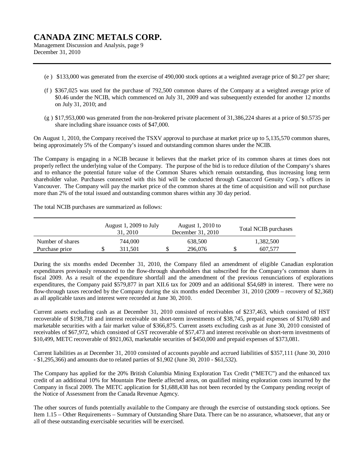Management Discussion and Analysis, page 9 December 31, 2010

- (e ) \$133,000 was generated from the exercise of 490,000 stock options at a weighted average price of \$0.27 per share;
- (f ) \$367,025 was used for the purchase of 792,500 common shares of the Company at a weighted average price of \$0.46 under the NCIB, which commenced on July 31, 2009 and was subsequently extended for another 12 months on July 31, 2010; and
- (g ) \$17,953,000 was generated from the non-brokered private placement of 31,386,224 shares at a price of \$0.5735 per share including share issuance costs of \$47,000.

On August 1, 2010, the Company received the TSXV approval to purchase at market price up to 5,135,570 common shares, being approximately 5% of the Company's issued and outstanding common shares under the NCIB.

The Company is engaging in a NCIB because it believes that the market price of its common shares at times does not properly reflect the underlying value of the Company. The purpose of the bid is to reduce dilution of the Company's shares and to enhance the potential future value of the Common Shares which remain outstanding, thus increasing long term shareholder value. Purchases connected with this bid will be conducted through Canaccord Genuity Corp.'s offices in Vancouver. The Company will pay the market price of the common shares at the time of acquisition and will not purchase more than 2% of the total issued and outstanding common shares within any 30 day period.

The total NCIB purchases are summarized as follows:

|                  | August 1, 2009 to July<br>31, 2010 | August 1, 2010 to<br>December 31, 2010 | <b>Total NCIB</b> purchases |
|------------------|------------------------------------|----------------------------------------|-----------------------------|
| Number of shares | 744,000                            | 638,500                                | 1,382,500                   |
| Purchase price   | 311.501                            | 296,076                                | 607.577                     |

During the six months ended December 31, 2010, the Company filed an amendment of eligible Canadian exploration expenditures previously renounced to the flow-through shareholders that subscribed for the Company's common shares in fiscal 2009. As a result of the expenditure shortfall and the amendment of the previous renunciations of explorations expenditures, the Company paid \$579,877 in part XII.6 tax for 2009 and an additional \$54,689 in interest. There were no flow-through taxes recorded by the Company during the six months ended December 31, 2010 (2009 – recovery of \$2,368) as all applicable taxes and interest were recorded at June 30, 2010.

Current assets excluding cash as at December 31, 2010 consisted of receivables of \$237,463, which consisted of HST recoverable of \$198,718 and interest receivable on short-term investments of \$38,745, prepaid expenses of \$170,680 and marketable securities with a fair market value of \$366,875. Current assets excluding cash as at June 30, 2010 consisted of receivables of \$67,972, which consisted of GST recoverable of \$57,473 and interest receivable on short-term investments of \$10,499, METC recoverable of \$921,063, marketable securities of \$450,000 and prepaid expenses of \$373,081.

Current liabilities as at December 31, 2010 consisted of accounts payable and accrued liabilities of \$357,111 (June 30, 2010 - \$1,295,366) and amounts due to related parties of \$1,902 (June 30, 2010 - \$61,532).

The Company has applied for the 20% British Columbia Mining Exploration Tax Credit ("METC") and the enhanced tax credit of an additional 10% for Mountain Pine Beetle affected areas, on qualified mining exploration costs incurred by the Company in fiscal 2009. The METC application for \$1,688,438 has not been recorded by the Company pending receipt of the Notice of Assessment from the Canada Revenue Agency.

The other sources of funds potentially available to the Company are through the exercise of outstanding stock options. See Item 1.15 – Other Requirements – Summary of Outstanding Share Data. There can be no assurance, whatsoever, that any or all of these outstanding exercisable securities will be exercised.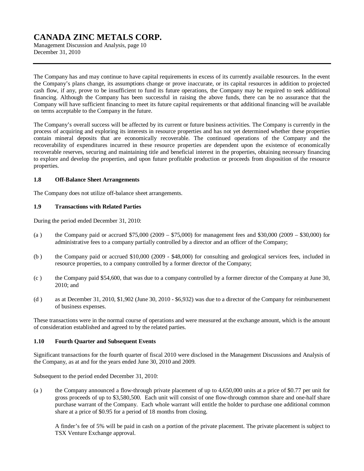Management Discussion and Analysis, page 10 December 31, 2010

The Company has and may continue to have capital requirements in excess of its currently available resources. In the event the Company's plans change, its assumptions change or prove inaccurate, or its capital resources in addition to projected cash flow, if any, prove to be insufficient to fund its future operations, the Company may be required to seek additional financing. Although the Company has been successful in raising the above funds, there can be no assurance that the Company will have sufficient financing to meet its future capital requirements or that additional financing will be available on terms acceptable to the Company in the future.

The Company's overall success will be affected by its current or future business activities. The Company is currently in the process of acquiring and exploring its interests in resource properties and has not yet determined whether these properties contain mineral deposits that are economically recoverable. The continued operations of the Company and the recoverability of expenditures incurred in these resource properties are dependent upon the existence of economically recoverable reserves, securing and maintaining title and beneficial interest in the properties, obtaining necessary financing to explore and develop the properties, and upon future profitable production or proceeds from disposition of the resource properties.

#### **1.8 Off-Balance Sheet Arrangements**

The Company does not utilize off-balance sheet arrangements.

### **1.9 Transactions with Related Parties**

During the period ended December 31, 2010:

- (a) the Company paid or accrued  $$75,000 (2009 $75,000)$  for management fees and \$30,000 (2009 \$30,000) for administrative fees to a company partially controlled by a director and an officer of the Company;
- (b ) the Company paid or accrued \$10,000 (2009 \$48,000) for consulting and geological services fees, included in resource properties, to a company controlled by a former director of the Company;
- (c ) the Company paid \$54,600, that was due to a company controlled by a former director of the Company at June 30, 2010; and
- (d ) as at December 31, 2010, \$1,902 (June 30, 2010 \$6,932) was due to a director of the Company for reimbursement of business expenses.

These transactions were in the normal course of operations and were measured at the exchange amount, which is the amount of consideration established and agreed to by the related parties.

### **1.10 Fourth Quarter and Subsequent Events**

Significant transactions for the fourth quarter of fiscal 2010 were disclosed in the Management Discussions and Analysis of the Company, as at and for the years ended June 30, 2010 and 2009.

Subsequent to the period ended December 31, 2010:

(a ) the Company announced a flow-through private placement of up to 4,650,000 units at a price of \$0.77 per unit for gross proceeds of up to \$3,580,500. Each unit will consist of one flow-through common share and one-half share purchase warrant of the Company. Each whole warrant will entitle the holder to purchase one additional common share at a price of \$0.95 for a period of 18 months from closing.

A finder's fee of 5% will be paid in cash on a portion of the private placement. The private placement is subject to TSX Venture Exchange approval.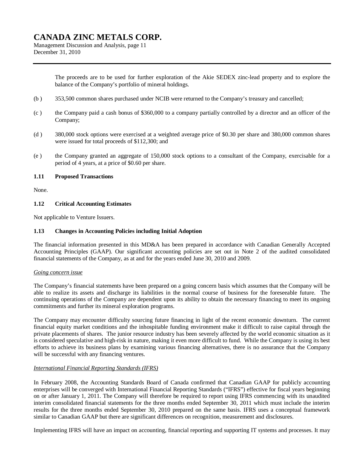Management Discussion and Analysis, page 11 December 31, 2010

> The proceeds are to be used for further exploration of the Akie SEDEX zinc-lead property and to explore the balance of the Company's portfolio of mineral holdings.

- (b ) 353,500 common shares purchased under NCIB were returned to the Company's treasury and cancelled;
- (c ) the Company paid a cash bonus of \$360,000 to a company partially controlled by a director and an officer of the Company;
- (d ) 380,000 stock options were exercised at a weighted average price of \$0.30 per share and 380,000 common shares were issued for total proceeds of \$112,300; and
- (e ) the Company granted an aggregate of 150,000 stock options to a consultant of the Company, exercisable for a period of 4 years, at a price of \$0.60 per share.

#### **1.11 Proposed Transactions**

None.

#### **1.12 Critical Accounting Estimates**

Not applicable to Venture Issuers.

#### **1.13 Changes in Accounting Policies including Initial Adoption**

The financial information presented in this MD&A has been prepared in accordance with Canadian Generally Accepted Accounting Principles (GAAP). Our significant accounting policies are set out in Note 2 of the audited consolidated financial statements of the Company, as at and for the years ended June 30, 2010 and 2009.

#### *Going concern issue*

The Company's financial statements have been prepared on a going concern basis which assumes that the Company will be able to realize its assets and discharge its liabilities in the normal course of business for the foreseeable future. The continuing operations of the Company are dependent upon its ability to obtain the necessary financing to meet its ongoing commitments and further its mineral exploration programs.

The Company may encounter difficulty sourcing future financing in light of the recent economic downturn. The current financial equity market conditions and the inhospitable funding environment make it difficult to raise capital through the private placements of shares. The junior resource industry has been severely affected by the world economic situation as it is considered speculative and high-risk in nature, making it even more difficult to fund. While the Company is using its best efforts to achieve its business plans by examining various financing alternatives, there is no assurance that the Company will be successful with any financing ventures.

### *International Financial Reporting Standards (IFRS)*

In February 2008, the Accounting Standards Board of Canada confirmed that Canadian GAAP for publicly accounting enterprises will be converged with International Financial Reporting Standards ("IFRS") effective for fiscal years beginning on or after January 1, 2011. The Company will therefore be required to report using IFRS commencing with its unaudited interim consolidated financial statements for the three months ended September 30, 2011 which must include the interim results for the three months ended September 30, 2010 prepared on the same basis. IFRS uses a conceptual framework similar to Canadian GAAP but there are significant differences on recognition, measurement and disclosures.

Implementing IFRS will have an impact on accounting, financial reporting and supporting IT systems and processes. It may